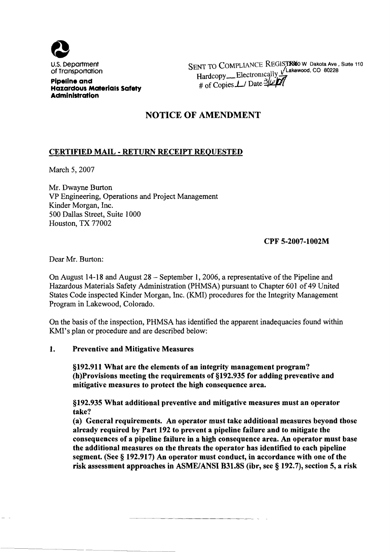

SENT TO COMPLIANCE REGISTRIO W Dakota Ave, Suite 110 Hardcopy Electronically Vlakewood, CO 80228 # of Copies  $\perp$  Date

Pipeline and Hazardous Materials Safety Administration

# NOTICE OF AMENDMENT

# CERTIFIED MAIL - RETURN RECEIPT REQUESTED

March 5, 2007

Mr. Dwayne Burton VP Engineering, Operations and Project Management Kinder Morgan, Inc. 500 Dallas Street, Suite 1000 Houston, TX 77002

## CPF 5-2007-1002M

Dear Mr. Burton:

On August 14-18 and August 28 — September 1, 2006, a representative of the Pipeline and Hazardous Materials Safety Administration {PHMSA) pursuant to Chapter 601 of 49 United States Code inspected Kinder Morgan, Inc. {KMI) procedures for the Integrity Management Program in Lakewood, Colorado.

On the basis of the inspection, PHMSA has identified the apparent inadequacies found within KMI's plan or procedure and are described below:

#### $1.$ Preventive and Mitigative Measures

\$192. 911 What are the elements of an integrity management program? (h)Provisions meeting the requirements of \$192. 935 for adding preventive and mitigative measures to protect the high consequence area.

\$192. 935 What additional preventive and mitigative measures must an operator take'?

(a) General requirements. An operator must take additional measures beyond those already required by Part 192 to prevent a pipeline failure and to mitigate the consequences of a pipeline failure in a high consequence area. An operator must base the additional measures on the threats the operator has identified to each pipeline segment. (See  $\S$  192.917) An operator must conduct, in accordance with one of the risk assessment approaches in ASME/ANSI B31.8S (ibr, see § 192.7), section 5, a risk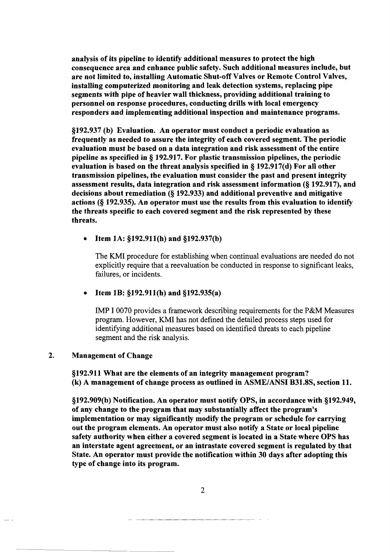analysis of its pipeline to identify additional measures to protect the high consequence area and enhance public safety. Such additional measures include, but are not limited to, installing Automatic Shut-off Valves or Remote Control Valves, installing computerized monitoring and leak detection systems, replacing pipe segments with pipe of heavier wall thickness, providing additional training to personnel on response procedures, conducting drills with local emergency responders and implementing additional inspection and maintenance programs.

\$192. 937 (b) Evaluation. An operator must conduct a periodic evaluation as frequently as needed to assure the integrity of each covered segment. The periodic evaluation must be based on a data integration and risk assessment of the entire pipeline as specified in  $\S 192.917$ . For plastic transmission pipelines, the periodic evaluation is based on the threat analysis specified in  $\S$  192.917(d) For all other transmission pipelines, the evaluation must consider the past and present integrity assessment results, data integration and risk assessment information (§ 192.917), and decisions about remediation {g 192. 933) and additional preventive and mitigative actions  $(8\ 192.935)$ . An operator must use the results from this evaluation to identify the threats specific to each covered segment and the risk represented by these threats.

### Item 1A: §192.911(h) and §192.937(b)

The KMI procedure for establishing when continual evaluations are needed do not explicitly require that a reevaluation be conducted in response to significant leaks, failures, or incidents.

#### Item 1B: §192.911(h) and §192.935(a)

IMP I 0070 provides a framework describing requirements for the P&M Measures program. However, KMI has not defined the detailed process steps used for identifying additional measures based on identified threats to each pipeline segment and the risk analysis.

#### $2.$ Management of Change

\$192. 911 What are the elements of an integrity management program? (k) A management of change process as outlined in ASME/ANSI B31. 8S, section 11.

\$192. 909(b) Notification. An operator must notify OPS, in accordance with \$192. 949, of any change to the program that may substantially affect the program's implementation or may significantly modify the program or schedule for carrying out the program elements. An operator must also notify a State or local pipeline safety authority when either a covered segment is located in a State where OPS has an interstate agent agreement, or an intrastate covered segment is regulated by that State. An operator must provide the notification within 30 days after adopting this type of change into its program.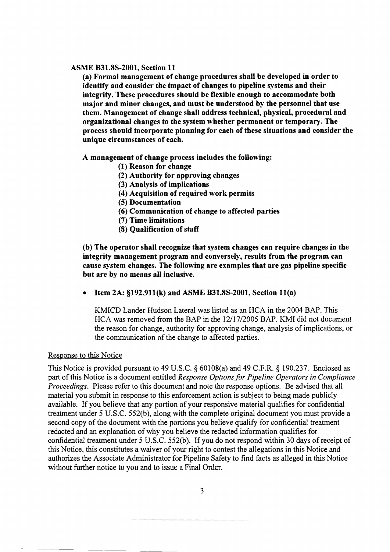#### ASME B31.8S-2001, Section 11

(a) Formal management of change procedures shall be developed in order to identify and consider the impact of changes to pipeline systems and their integrity. These procedures should be flexible enough to accommodate both major and minor changes, and must be understood by the personnel that use them. Management of change shall address technical, physical, procedural and organizational changes to the system whether permanent or temporary. The process should incorporate planning for each of these situations and consider the unique circumstances of each.

A management of change process includes the following:

- (1) Reason for change
- (2) Authority for approving changes
- {3) Analysis of implications
- (4) Acquisition of required work permits
- (5) Documentation
- (6) Communication of change to affected parties
- {7) Time limitations
- (8) Qualification of staff

(b) The operator shall recognize that system changes can require changes in the integrity management program and conversely, results from the program can cause system changes. The following are examples that are gas pipeline specific but are by no means all inclusive.

Item 2A:  $$192.911(k)$  and ASME B31.8S-2001, Section 11(a)

KMICD Lander Hudson Lateral was listed as an HCA in the 2004 BAP. This HCA was removed from the BAP in the 12/17/2005 BAP. KMI did not document the reason for change, authority for approving change, analysis of implications, or the communication of the change to affected parties.

### Response to this Notice

This Notice is provided pursuant to 49 U.S.C.  $\S$  60108(a) and 49 C.F.R.  $\S$  190.237. Enclosed as part of this Notice is a document entitled Response Options for Pipeline Operators in Compliance Proceedings. Please refer to this document and note the response options. Be advised that all material you submit in response to this enforcement action is subject to being made publicly available. If you believe that any portion of your responsive material qualifies for confidential treatment under 5 U.S.C. 552(b), along with the complete original document you must provide a second copy of the document with the portions you believe qualify for confidential treatment redacted and an explanation of why you believe the redacted information qualifies for confidential treatment under 5 U.S.C. 552(b). If you do not respond within 30 days of receipt of this Notice, this constitutes a waiver of your right to contest the allegations in this Notice and authorizes the Associate Administrator for Pipeline Safety to find facts as alleged in this Notice without further notice to you and to issue a Final Order.